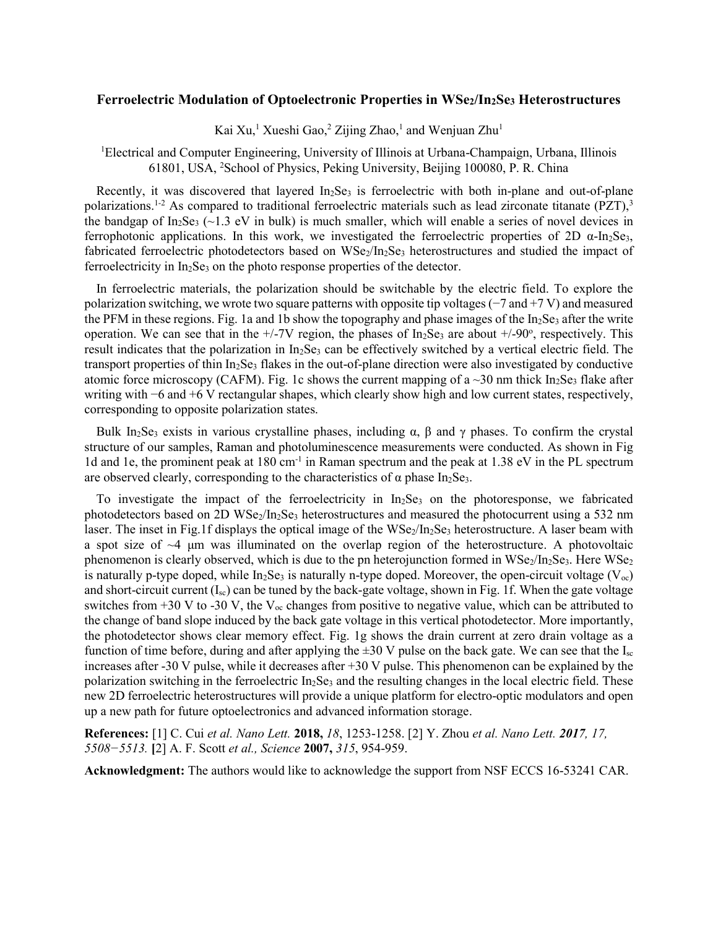## **Ferroelectric Modulation of Optoelectronic Properties in WSe2/In2Se<sup>3</sup> Heterostructures**

Kai Xu,<sup>1</sup> Xueshi Gao,<sup>2</sup> Zijing Zhao,<sup>1</sup> and Wenjuan Zhu<sup>1</sup>

<sup>1</sup>Electrical and Computer Engineering, University of Illinois at Urbana-Champaign, Urbana, Illinois 61801, USA, <sup>2</sup>School of Physics, Peking University, Beijing 100080, P. R. China

Recently, it was discovered that layered  $In<sub>2</sub>Se<sub>3</sub>$  is ferroelectric with both in-plane and out-of-plane polarizations.<sup>1-2</sup> As compared to traditional ferroelectric materials such as lead zirconate titanate (PZT),<sup>3</sup> the bandgap of In<sub>2</sub>Se<sub>3</sub> (~1.3 eV in bulk) is much smaller, which will enable a series of novel devices in ferrophotonic applications. In this work, we investigated the ferroelectric properties of 2D α-In2Se3, fabricated ferroelectric photodetectors based on WSe<sub>2</sub>/In<sub>2</sub>Se<sub>3</sub> heterostructures and studied the impact of ferroelectricity in  $In<sub>2</sub>Se<sub>3</sub>$  on the photo response properties of the detector.

In ferroelectric materials, the polarization should be switchable by the electric field. To explore the polarization switching, we wrote two square patterns with opposite tip voltages (−7 and +7 V) and measured the PFM in these regions. Fig. 1a and 1b show the topography and phase images of the  $In_2Se_3$  after the write operation. We can see that in the  $+/-7V$  region, the phases of In<sub>2</sub>Se<sub>3</sub> are about  $+/-90^{\circ}$ , respectively. This result indicates that the polarization in  $In_2Se_3$  can be effectively switched by a vertical electric field. The transport properties of thin In<sub>2</sub>Se<sub>3</sub> flakes in the out-of-plane direction were also investigated by conductive atomic force microscopy (CAFM). Fig. 1c shows the current mapping of a  $\sim$ 30 nm thick In<sub>2</sub>Se<sub>3</sub> flake after writing with −6 and +6 V rectangular shapes, which clearly show high and low current states, respectively, corresponding to opposite polarization states.

Bulk In<sub>2</sub>Se<sub>3</sub> exists in various crystalline phases, including  $\alpha$ ,  $\beta$  and  $\gamma$  phases. To confirm the crystal structure of our samples, Raman and photoluminescence measurements were conducted. As shown in Fig 1d and 1e, the prominent peak at 180 cm<sup>-1</sup> in Raman spectrum and the peak at 1.38 eV in the PL spectrum are observed clearly, corresponding to the characteristics of  $\alpha$  phase In<sub>2</sub>Se<sub>3</sub>.

To investigate the impact of the ferroelectricity in  $In<sub>2</sub>Se<sub>3</sub>$  on the photoresponse, we fabricated photodetectors based on 2D WSe<sub>2</sub>/In<sub>2</sub>Se<sub>3</sub> heterostructures and measured the photocurrent using a 532 nm laser. The inset in Fig.1f displays the optical image of the  $WSe_2/In_2Se_3$  heterostructure. A laser beam with a spot size of ~4 μm was illuminated on the overlap region of the heterostructure. A photovoltaic phenomenon is clearly observed, which is due to the pn heterojunction formed in  $WSe_2/In_2Se_3$ . Here  $WSe_2$ is naturally p-type doped, while  $In_2Se_3$  is naturally n-type doped. Moreover, the open-circuit voltage ( $V_{oc}$ ) and short-circuit current (Isc) can be tuned by the back-gate voltage, shown in Fig. 1f. When the gate voltage switches from +30 V to -30 V, the  $V_{\text{oc}}$  changes from positive to negative value, which can be attributed to the change of band slope induced by the back gate voltage in this vertical photodetector. More importantly, the photodetector shows clear memory effect. Fig. 1g shows the drain current at zero drain voltage as a function of time before, during and after applying the  $\pm 30$  V pulse on the back gate. We can see that the  $I_{\rm sc}$ increases after -30 V pulse, while it decreases after +30 V pulse. This phenomenon can be explained by the polarization switching in the ferroelectric  $In_2Se_3$  and the resulting changes in the local electric field. These new 2D ferroelectric heterostructures will provide a unique platform for electro-optic modulators and open up a new path for future optoelectronics and advanced information storage.

**References:** [1] C. Cui *et al. Nano Lett.* **2018,** *18*, 1253-1258. [2] Y. Zhou *et al. Nano Lett. 2017, 17, 5508−5513.* **[**2] A. F. Scott *et al., Science* **2007,** *315*, 954-959.

**Acknowledgment:** The authors would like to acknowledge the support from NSF ECCS 16-53241 CAR.